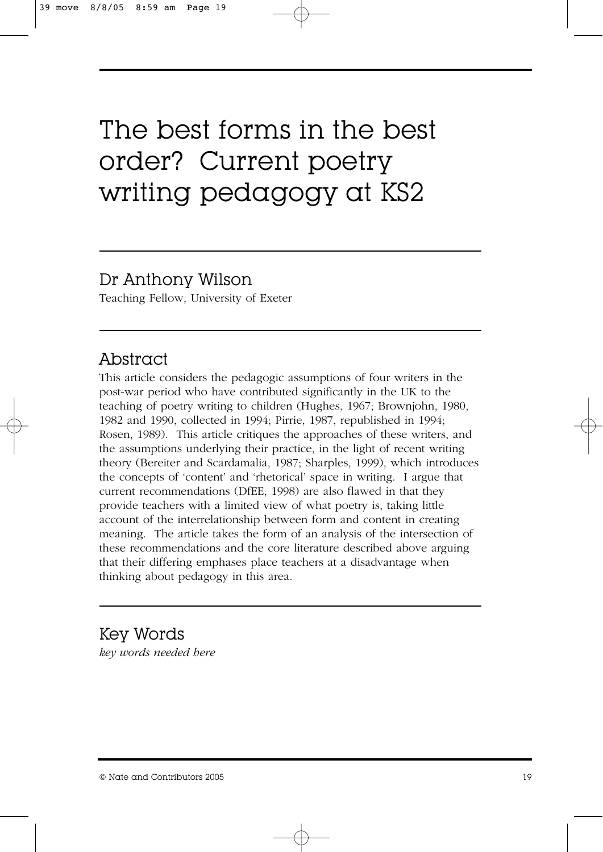# The best forms in the best order? Current poetry writing pedagogy at KS2

## Dr Anthony Wilson

Teaching Fellow, University of Exeter

## Abstract

This article considers the pedagogic assumptions of four writers in the post-war period who have contributed significantly in the UK to the teaching of poetry writing to children (Hughes, 1967; Brownjohn, 1980, 1982 and 1990, collected in 1994; Pirrie, 1987, republished in 1994; Rosen, 1989). This article critiques the approaches of these writers, and the assumptions underlying their practice, in the light of recent writing theory (Bereiter and Scardamalia, 1987; Sharples, 1999), which introduces the concepts of 'content' and 'rhetorical' space in writing. I argue that current recommendations (DfEE, 1998) are also flawed in that they provide teachers with a limited view of what poetry is, taking little account of the interrelationship between form and content in creating meaning. The article takes the form of an analysis of the intersection of these recommendations and the core literature described above arguing that their differing emphases place teachers at a disadvantage when thinking about pedagogy in this area.

# Key Words

*key words needed here*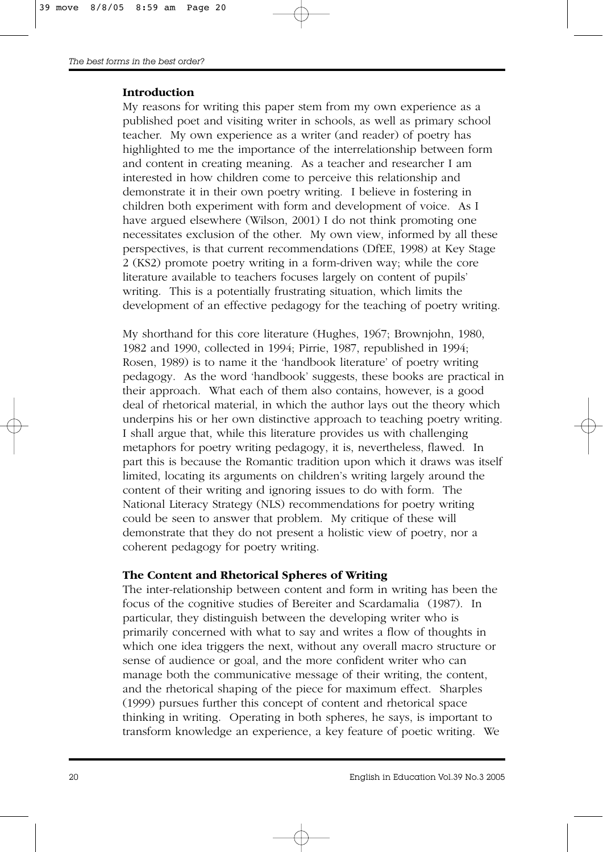#### **Introduction**

My reasons for writing this paper stem from my own experience as a published poet and visiting writer in schools, as well as primary school teacher. My own experience as a writer (and reader) of poetry has highlighted to me the importance of the interrelationship between form and content in creating meaning. As a teacher and researcher I am interested in how children come to perceive this relationship and demonstrate it in their own poetry writing. I believe in fostering in children both experiment with form and development of voice. As I have argued elsewhere (Wilson, 2001) I do not think promoting one necessitates exclusion of the other. My own view, informed by all these perspectives, is that current recommendations (DfEE, 1998) at Key Stage 2 (KS2) promote poetry writing in a form-driven way; while the core literature available to teachers focuses largely on content of pupils' writing. This is a potentially frustrating situation, which limits the development of an effective pedagogy for the teaching of poetry writing.

My shorthand for this core literature (Hughes, 1967; Brownjohn, 1980, 1982 and 1990, collected in 1994; Pirrie, 1987, republished in 1994; Rosen, 1989) is to name it the 'handbook literature' of poetry writing pedagogy. As the word 'handbook' suggests, these books are practical in their approach. What each of them also contains, however, is a good deal of rhetorical material, in which the author lays out the theory which underpins his or her own distinctive approach to teaching poetry writing. I shall argue that, while this literature provides us with challenging metaphors for poetry writing pedagogy, it is, nevertheless, flawed. In part this is because the Romantic tradition upon which it draws was itself limited, locating its arguments on children's writing largely around the content of their writing and ignoring issues to do with form. The National Literacy Strategy (NLS) recommendations for poetry writing could be seen to answer that problem. My critique of these will demonstrate that they do not present a holistic view of poetry, nor a coherent pedagogy for poetry writing.

## **The Content and Rhetorical Spheres of Writing**

The inter-relationship between content and form in writing has been the focus of the cognitive studies of Bereiter and Scardamalia (1987). In particular, they distinguish between the developing writer who is primarily concerned with what to say and writes a flow of thoughts in which one idea triggers the next, without any overall macro structure or sense of audience or goal, and the more confident writer who can manage both the communicative message of their writing, the content, and the rhetorical shaping of the piece for maximum effect. Sharples (1999) pursues further this concept of content and rhetorical space thinking in writing. Operating in both spheres, he says, is important to transform knowledge an experience, a key feature of poetic writing. We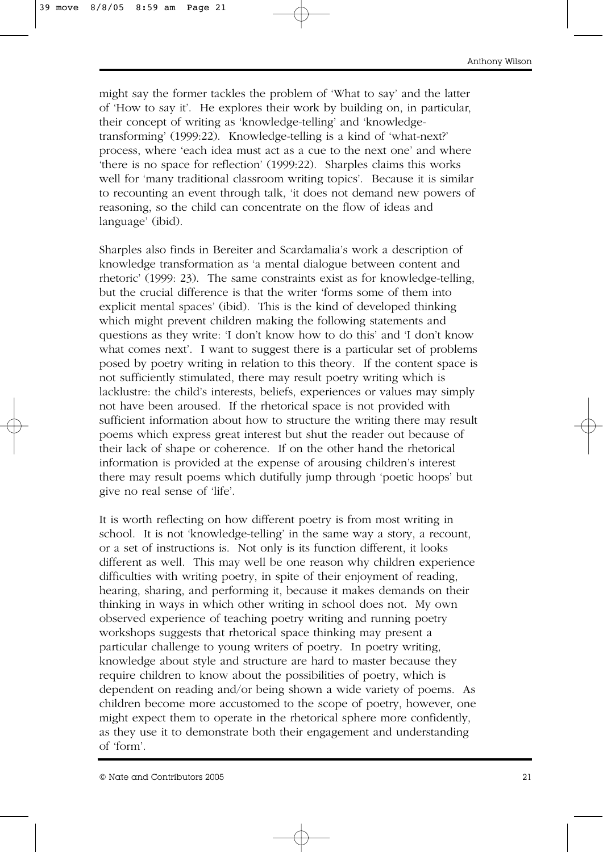might say the former tackles the problem of 'What to say' and the latter of 'How to say it'. He explores their work by building on, in particular, their concept of writing as 'knowledge-telling' and 'knowledgetransforming' (1999:22). Knowledge-telling is a kind of 'what-next?' process, where 'each idea must act as a cue to the next one' and where 'there is no space for reflection' (1999:22). Sharples claims this works well for 'many traditional classroom writing topics'. Because it is similar to recounting an event through talk, 'it does not demand new powers of reasoning, so the child can concentrate on the flow of ideas and language' (ibid).

Sharples also finds in Bereiter and Scardamalia's work a description of knowledge transformation as 'a mental dialogue between content and rhetoric' (1999: 23). The same constraints exist as for knowledge-telling, but the crucial difference is that the writer 'forms some of them into explicit mental spaces' (ibid). This is the kind of developed thinking which might prevent children making the following statements and questions as they write: 'I don't know how to do this' and 'I don't know what comes next'. I want to suggest there is a particular set of problems posed by poetry writing in relation to this theory. If the content space is not sufficiently stimulated, there may result poetry writing which is lacklustre: the child's interests, beliefs, experiences or values may simply not have been aroused. If the rhetorical space is not provided with sufficient information about how to structure the writing there may result poems which express great interest but shut the reader out because of their lack of shape or coherence. If on the other hand the rhetorical information is provided at the expense of arousing children's interest there may result poems which dutifully jump through 'poetic hoops' but give no real sense of 'life'.

It is worth reflecting on how different poetry is from most writing in school. It is not 'knowledge-telling' in the same way a story, a recount, or a set of instructions is. Not only is its function different, it looks different as well. This may well be one reason why children experience difficulties with writing poetry, in spite of their enjoyment of reading, hearing, sharing, and performing it, because it makes demands on their thinking in ways in which other writing in school does not. My own observed experience of teaching poetry writing and running poetry workshops suggests that rhetorical space thinking may present a particular challenge to young writers of poetry. In poetry writing, knowledge about style and structure are hard to master because they require children to know about the possibilities of poetry, which is dependent on reading and/or being shown a wide variety of poems. As children become more accustomed to the scope of poetry, however, one might expect them to operate in the rhetorical sphere more confidently, as they use it to demonstrate both their engagement and understanding of 'form'.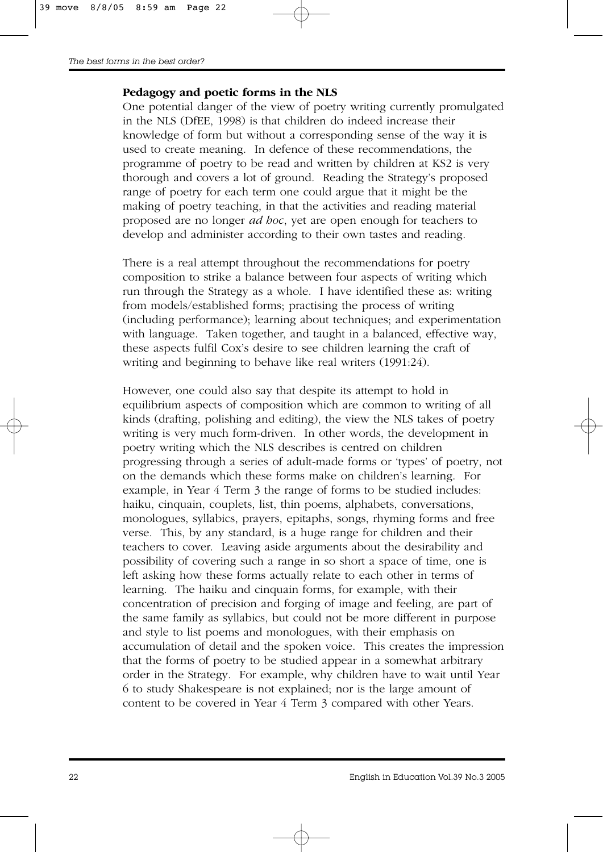#### **Pedagogy and poetic forms in the NLS**

One potential danger of the view of poetry writing currently promulgated in the NLS (DfEE, 1998) is that children do indeed increase their knowledge of form but without a corresponding sense of the way it is used to create meaning. In defence of these recommendations, the programme of poetry to be read and written by children at KS2 is very thorough and covers a lot of ground. Reading the Strategy's proposed range of poetry for each term one could argue that it might be the making of poetry teaching, in that the activities and reading material proposed are no longer *ad hoc*, yet are open enough for teachers to develop and administer according to their own tastes and reading.

There is a real attempt throughout the recommendations for poetry composition to strike a balance between four aspects of writing which run through the Strategy as a whole. I have identified these as: writing from models/established forms; practising the process of writing (including performance); learning about techniques; and experimentation with language. Taken together, and taught in a balanced, effective way, these aspects fulfil Cox's desire to see children learning the craft of writing and beginning to behave like real writers (1991:24).

However, one could also say that despite its attempt to hold in equilibrium aspects of composition which are common to writing of all kinds (drafting, polishing and editing), the view the NLS takes of poetry writing is very much form-driven. In other words, the development in poetry writing which the NLS describes is centred on children progressing through a series of adult-made forms or 'types' of poetry, not on the demands which these forms make on children's learning. For example, in Year 4 Term 3 the range of forms to be studied includes: haiku, cinquain, couplets, list, thin poems, alphabets, conversations, monologues, syllabics, prayers, epitaphs, songs, rhyming forms and free verse. This, by any standard, is a huge range for children and their teachers to cover. Leaving aside arguments about the desirability and possibility of covering such a range in so short a space of time, one is left asking how these forms actually relate to each other in terms of learning. The haiku and cinquain forms, for example, with their concentration of precision and forging of image and feeling, are part of the same family as syllabics, but could not be more different in purpose and style to list poems and monologues, with their emphasis on accumulation of detail and the spoken voice. This creates the impression that the forms of poetry to be studied appear in a somewhat arbitrary order in the Strategy. For example, why children have to wait until Year 6 to study Shakespeare is not explained; nor is the large amount of content to be covered in Year 4 Term 3 compared with other Years.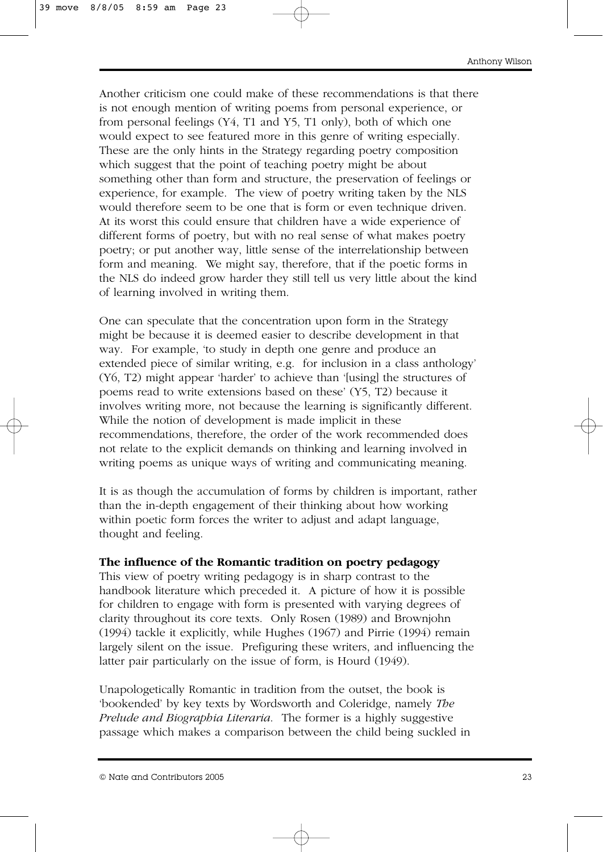Another criticism one could make of these recommendations is that there is not enough mention of writing poems from personal experience, or from personal feelings (Y4, T1 and Y5, T1 only), both of which one would expect to see featured more in this genre of writing especially. These are the only hints in the Strategy regarding poetry composition which suggest that the point of teaching poetry might be about something other than form and structure, the preservation of feelings or experience, for example. The view of poetry writing taken by the NLS would therefore seem to be one that is form or even technique driven. At its worst this could ensure that children have a wide experience of different forms of poetry, but with no real sense of what makes poetry poetry; or put another way, little sense of the interrelationship between form and meaning. We might say, therefore, that if the poetic forms in the NLS do indeed grow harder they still tell us very little about the kind of learning involved in writing them.

One can speculate that the concentration upon form in the Strategy might be because it is deemed easier to describe development in that way. For example, 'to study in depth one genre and produce an extended piece of similar writing, e.g. for inclusion in a class anthology' (Y6, T2) might appear 'harder' to achieve than '[using] the structures of poems read to write extensions based on these' (Y5, T2) because it involves writing more, not because the learning is significantly different. While the notion of development is made implicit in these recommendations, therefore, the order of the work recommended does not relate to the explicit demands on thinking and learning involved in writing poems as unique ways of writing and communicating meaning.

It is as though the accumulation of forms by children is important, rather than the in-depth engagement of their thinking about how working within poetic form forces the writer to adjust and adapt language, thought and feeling.

## **The influence of the Romantic tradition on poetry pedagogy**

This view of poetry writing pedagogy is in sharp contrast to the handbook literature which preceded it. A picture of how it is possible for children to engage with form is presented with varying degrees of clarity throughout its core texts. Only Rosen (1989) and Brownjohn (1994) tackle it explicitly, while Hughes (1967) and Pirrie (1994) remain largely silent on the issue. Prefiguring these writers, and influencing the latter pair particularly on the issue of form, is Hourd (1949).

Unapologetically Romantic in tradition from the outset, the book is 'bookended' by key texts by Wordsworth and Coleridge, namely *The Prelude and Biographia Literaria*. The former is a highly suggestive passage which makes a comparison between the child being suckled in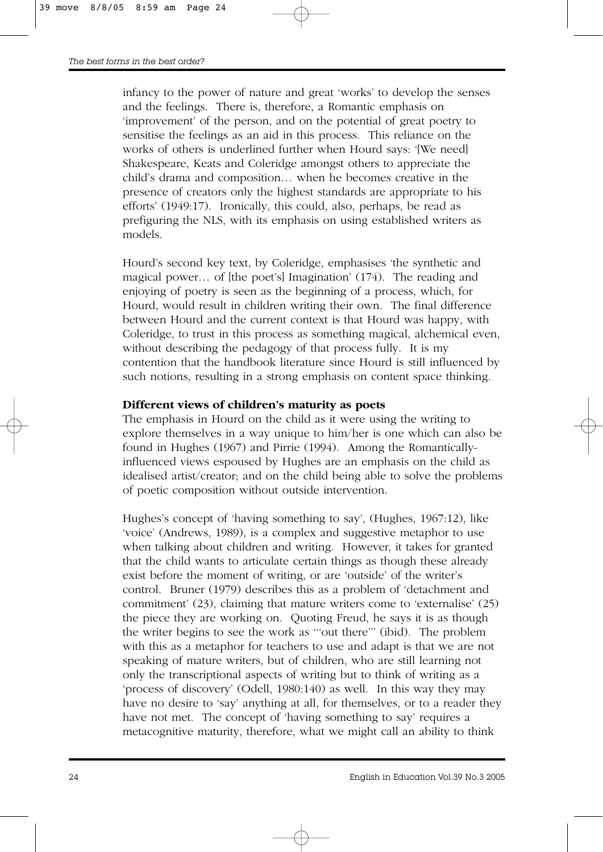infancy to the power of nature and great 'works' to develop the senses and the feelings. There is, therefore, a Romantic emphasis on 'improvement' of the person, and on the potential of great poetry to sensitise the feelings as an aid in this process. This reliance on the works of others is underlined further when Hourd says: '[We need] Shakespeare, Keats and Coleridge amongst others to appreciate the child's drama and composition… when he becomes creative in the presence of creators only the highest standards are appropriate to his efforts' (1949:17). Ironically, this could, also, perhaps, be read as prefiguring the NLS, with its emphasis on using established writers as models.

Hourd's second key text, by Coleridge, emphasises 'the synthetic and magical power… of [the poet's] Imagination' (174). The reading and enjoying of poetry is seen as the beginning of a process, which, for Hourd, would result in children writing their own. The final difference between Hourd and the current context is that Hourd was happy, with Coleridge, to trust in this process as something magical, alchemical even, without describing the pedagogy of that process fully. It is my contention that the handbook literature since Hourd is still influenced by such notions, resulting in a strong emphasis on content space thinking.

#### **Different views of children's maturity as poets**

The emphasis in Hourd on the child as it were using the writing to explore themselves in a way unique to him/her is one which can also be found in Hughes (1967) and Pirrie (1994). Among the Romanticallyinfluenced views espoused by Hughes are an emphasis on the child as idealised artist/creator; and on the child being able to solve the problems of poetic composition without outside intervention.

Hughes's concept of 'having something to say', (Hughes, 1967:12), like 'voice' (Andrews, 1989), is a complex and suggestive metaphor to use when talking about children and writing. However, it takes for granted that the child wants to articulate certain things as though these already exist before the moment of writing, or are 'outside' of the writer's control. Bruner (1979) describes this as a problem of 'detachment and commitment' (23), claiming that mature writers come to 'externalise' (25) the piece they are working on. Quoting Freud, he says it is as though the writer begins to see the work as '''out there''' (ibid). The problem with this as a metaphor for teachers to use and adapt is that we are not speaking of mature writers, but of children, who are still learning not only the transcriptional aspects of writing but to think of writing as a 'process of discovery' (Odell, 1980:140) as well. In this way they may have no desire to 'say' anything at all, for themselves, or to a reader they have not met. The concept of 'having something to say' requires a metacognitive maturity, therefore, what we might call an ability to think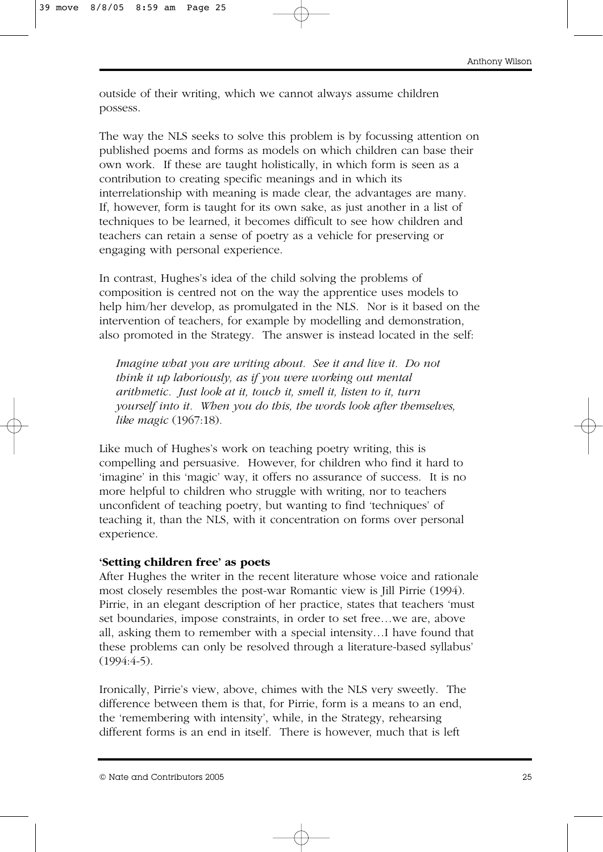outside of their writing, which we cannot always assume children possess.

The way the NLS seeks to solve this problem is by focussing attention on published poems and forms as models on which children can base their own work. If these are taught holistically, in which form is seen as a contribution to creating specific meanings and in which its interrelationship with meaning is made clear, the advantages are many. If, however, form is taught for its own sake, as just another in a list of techniques to be learned, it becomes difficult to see how children and teachers can retain a sense of poetry as a vehicle for preserving or engaging with personal experience.

In contrast, Hughes's idea of the child solving the problems of composition is centred not on the way the apprentice uses models to help him/her develop, as promulgated in the NLS. Nor is it based on the intervention of teachers, for example by modelling and demonstration, also promoted in the Strategy. The answer is instead located in the self:

*Imagine what you are writing about. See it and live it. Do not think it up laboriously, as if you were working out mental arithmetic. Just look at it, touch it, smell it, listen to it, turn yourself into it. When you do this, the words look after themselves, like magic* (1967:18)*.*

Like much of Hughes's work on teaching poetry writing, this is compelling and persuasive. However, for children who find it hard to 'imagine' in this 'magic' way, it offers no assurance of success. It is no more helpful to children who struggle with writing, nor to teachers unconfident of teaching poetry, but wanting to find 'techniques' of teaching it, than the NLS, with it concentration on forms over personal experience.

#### **'Setting children free' as poets**

After Hughes the writer in the recent literature whose voice and rationale most closely resembles the post-war Romantic view is Jill Pirrie (1994). Pirrie, in an elegant description of her practice, states that teachers 'must set boundaries, impose constraints, in order to set free…we are, above all, asking them to remember with a special intensity…I have found that these problems can only be resolved through a literature-based syllabus'  $(1994:4-5)$ .

Ironically, Pirrie's view, above, chimes with the NLS very sweetly. The difference between them is that, for Pirrie, form is a means to an end, the 'remembering with intensity', while, in the Strategy, rehearsing different forms is an end in itself. There is however, much that is left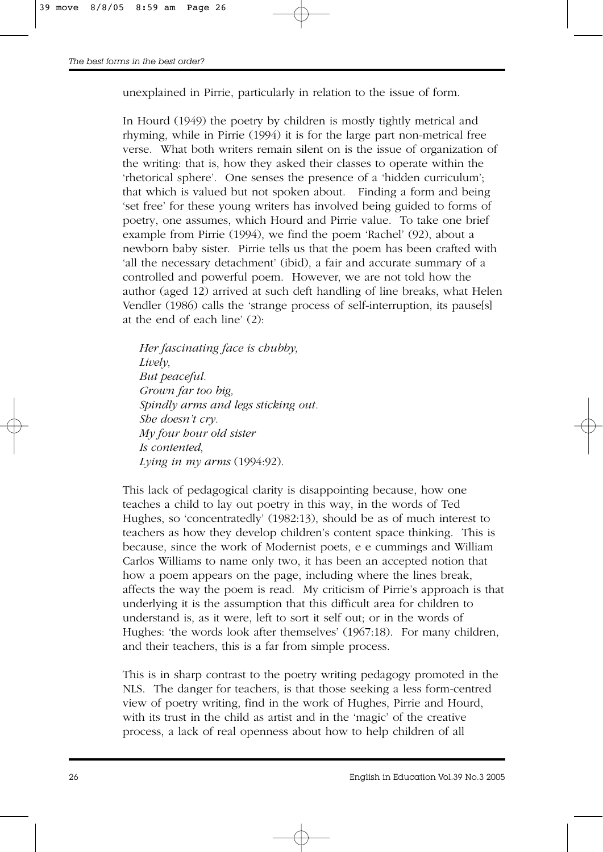unexplained in Pirrie, particularly in relation to the issue of form.

In Hourd (1949) the poetry by children is mostly tightly metrical and rhyming, while in Pirrie (1994) it is for the large part non-metrical free verse. What both writers remain silent on is the issue of organization of the writing: that is, how they asked their classes to operate within the 'rhetorical sphere'. One senses the presence of a 'hidden curriculum'; that which is valued but not spoken about. Finding a form and being 'set free' for these young writers has involved being guided to forms of poetry, one assumes, which Hourd and Pirrie value. To take one brief example from Pirrie (1994), we find the poem 'Rachel' (92), about a newborn baby sister. Pirrie tells us that the poem has been crafted with 'all the necessary detachment' (ibid), a fair and accurate summary of a controlled and powerful poem. However, we are not told how the author (aged 12) arrived at such deft handling of line breaks, what Helen Vendler (1986) calls the 'strange process of self-interruption, its pause[s] at the end of each line' (2):

*Her fascinating face is chubby, Lively, But peaceful. Grown far too big, Spindly arms and legs sticking out. She doesn't cry. My four hour old sister Is contented, Lying in my arms* (1994:92).

This lack of pedagogical clarity is disappointing because, how one teaches a child to lay out poetry in this way, in the words of Ted Hughes, so 'concentratedly' (1982:13), should be as of much interest to teachers as how they develop children's content space thinking. This is because, since the work of Modernist poets, e e cummings and William Carlos Williams to name only two, it has been an accepted notion that how a poem appears on the page, including where the lines break, affects the way the poem is read. My criticism of Pirrie's approach is that underlying it is the assumption that this difficult area for children to understand is, as it were, left to sort it self out; or in the words of Hughes: 'the words look after themselves' (1967:18). For many children, and their teachers, this is a far from simple process.

This is in sharp contrast to the poetry writing pedagogy promoted in the NLS. The danger for teachers, is that those seeking a less form-centred view of poetry writing, find in the work of Hughes, Pirrie and Hourd, with its trust in the child as artist and in the 'magic' of the creative process, a lack of real openness about how to help children of all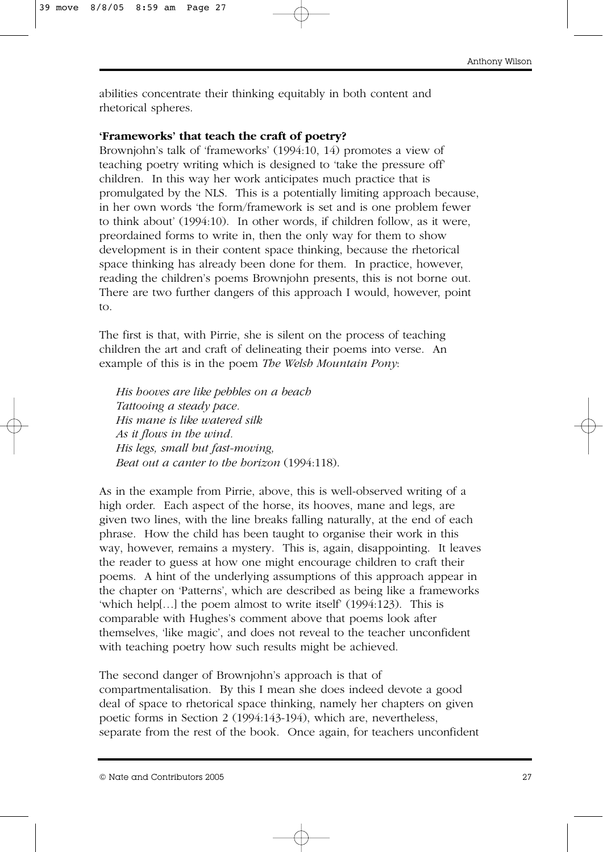abilities concentrate their thinking equitably in both content and rhetorical spheres.

#### **'Frameworks' that teach the craft of poetry?**

Brownjohn's talk of 'frameworks' (1994:10, 14) promotes a view of teaching poetry writing which is designed to 'take the pressure off' children. In this way her work anticipates much practice that is promulgated by the NLS. This is a potentially limiting approach because, in her own words 'the form/framework is set and is one problem fewer to think about' (1994:10). In other words, if children follow, as it were, preordained forms to write in, then the only way for them to show development is in their content space thinking, because the rhetorical space thinking has already been done for them. In practice, however, reading the children's poems Brownjohn presents, this is not borne out. There are two further dangers of this approach I would, however, point to.

The first is that, with Pirrie, she is silent on the process of teaching children the art and craft of delineating their poems into verse. An example of this is in the poem *The Welsh Mountain Pony*:

*His hooves are like pebbles on a beach Tattooing a steady pace. His mane is like watered silk As it flows in the wind. His legs, small but fast-moving, Beat out a canter to the horizon* (1994:118).

As in the example from Pirrie, above, this is well-observed writing of a high order. Each aspect of the horse, its hooves, mane and legs, are given two lines, with the line breaks falling naturally, at the end of each phrase. How the child has been taught to organise their work in this way, however, remains a mystery. This is, again, disappointing. It leaves the reader to guess at how one might encourage children to craft their poems. A hint of the underlying assumptions of this approach appear in the chapter on 'Patterns', which are described as being like a frameworks 'which help[…] the poem almost to write itself' (1994:123). This is comparable with Hughes's comment above that poems look after themselves, 'like magic', and does not reveal to the teacher unconfident with teaching poetry how such results might be achieved.

The second danger of Brownjohn's approach is that of compartmentalisation. By this I mean she does indeed devote a good deal of space to rhetorical space thinking, namely her chapters on given poetic forms in Section 2 (1994:143-194), which are, nevertheless, separate from the rest of the book. Once again, for teachers unconfident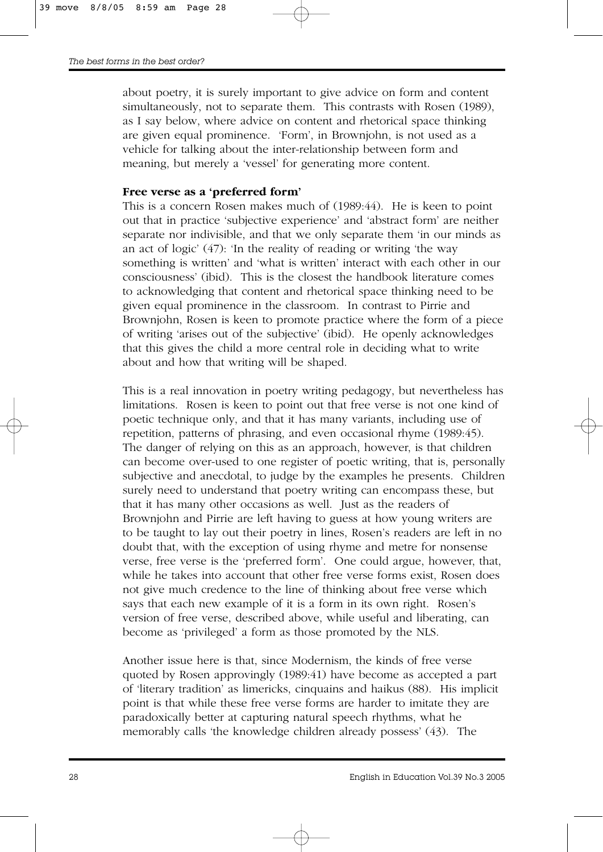about poetry, it is surely important to give advice on form and content simultaneously, not to separate them. This contrasts with Rosen (1989), as I say below, where advice on content and rhetorical space thinking are given equal prominence. 'Form', in Brownjohn, is not used as a vehicle for talking about the inter-relationship between form and meaning, but merely a 'vessel' for generating more content.

#### **Free verse as a 'preferred form'**

This is a concern Rosen makes much of (1989:44). He is keen to point out that in practice 'subjective experience' and 'abstract form' are neither separate nor indivisible, and that we only separate them 'in our minds as an act of logic' (47): 'In the reality of reading or writing 'the way something is written' and 'what is written' interact with each other in our consciousness' (ibid). This is the closest the handbook literature comes to acknowledging that content and rhetorical space thinking need to be given equal prominence in the classroom. In contrast to Pirrie and Brownjohn, Rosen is keen to promote practice where the form of a piece of writing 'arises out of the subjective' (ibid). He openly acknowledges that this gives the child a more central role in deciding what to write about and how that writing will be shaped.

This is a real innovation in poetry writing pedagogy, but nevertheless has limitations. Rosen is keen to point out that free verse is not one kind of poetic technique only, and that it has many variants, including use of repetition, patterns of phrasing, and even occasional rhyme (1989:45). The danger of relying on this as an approach, however, is that children can become over-used to one register of poetic writing, that is, personally subjective and anecdotal, to judge by the examples he presents. Children surely need to understand that poetry writing can encompass these, but that it has many other occasions as well. Just as the readers of Brownjohn and Pirrie are left having to guess at how young writers are to be taught to lay out their poetry in lines, Rosen's readers are left in no doubt that, with the exception of using rhyme and metre for nonsense verse, free verse is the 'preferred form'. One could argue, however, that, while he takes into account that other free verse forms exist, Rosen does not give much credence to the line of thinking about free verse which says that each new example of it is a form in its own right. Rosen's version of free verse, described above, while useful and liberating, can become as 'privileged' a form as those promoted by the NLS.

Another issue here is that, since Modernism, the kinds of free verse quoted by Rosen approvingly (1989:41) have become as accepted a part of 'literary tradition' as limericks, cinquains and haikus (88). His implicit point is that while these free verse forms are harder to imitate they are paradoxically better at capturing natural speech rhythms, what he memorably calls 'the knowledge children already possess' (43). The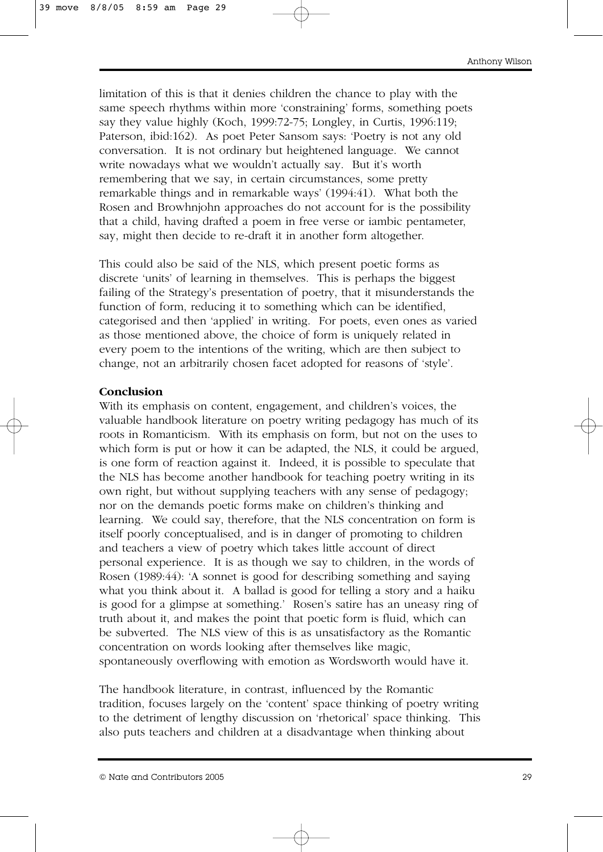limitation of this is that it denies children the chance to play with the same speech rhythms within more 'constraining' forms, something poets say they value highly (Koch, 1999:72-75; Longley, in Curtis, 1996:119; Paterson, ibid:162). As poet Peter Sansom says: 'Poetry is not any old conversation. It is not ordinary but heightened language. We cannot write nowadays what we wouldn't actually say. But it's worth remembering that we say, in certain circumstances, some pretty remarkable things and in remarkable ways' (1994:41). What both the Rosen and Browhnjohn approaches do not account for is the possibility that a child, having drafted a poem in free verse or iambic pentameter, say, might then decide to re-draft it in another form altogether.

This could also be said of the NLS, which present poetic forms as discrete 'units' of learning in themselves. This is perhaps the biggest failing of the Strategy's presentation of poetry, that it misunderstands the function of form, reducing it to something which can be identified, categorised and then 'applied' in writing. For poets, even ones as varied as those mentioned above, the choice of form is uniquely related in every poem to the intentions of the writing, which are then subject to change, not an arbitrarily chosen facet adopted for reasons of 'style'.

#### **Conclusion**

With its emphasis on content, engagement, and children's voices, the valuable handbook literature on poetry writing pedagogy has much of its roots in Romanticism. With its emphasis on form, but not on the uses to which form is put or how it can be adapted, the NLS, it could be argued, is one form of reaction against it. Indeed, it is possible to speculate that the NLS has become another handbook for teaching poetry writing in its own right, but without supplying teachers with any sense of pedagogy; nor on the demands poetic forms make on children's thinking and learning. We could say, therefore, that the NLS concentration on form is itself poorly conceptualised, and is in danger of promoting to children and teachers a view of poetry which takes little account of direct personal experience. It is as though we say to children, in the words of Rosen (1989:44): 'A sonnet is good for describing something and saying what you think about it. A ballad is good for telling a story and a haiku is good for a glimpse at something.' Rosen's satire has an uneasy ring of truth about it, and makes the point that poetic form is fluid, which can be subverted. The NLS view of this is as unsatisfactory as the Romantic concentration on words looking after themselves like magic, spontaneously overflowing with emotion as Wordsworth would have it.

The handbook literature, in contrast, influenced by the Romantic tradition, focuses largely on the 'content' space thinking of poetry writing to the detriment of lengthy discussion on 'rhetorical' space thinking. This also puts teachers and children at a disadvantage when thinking about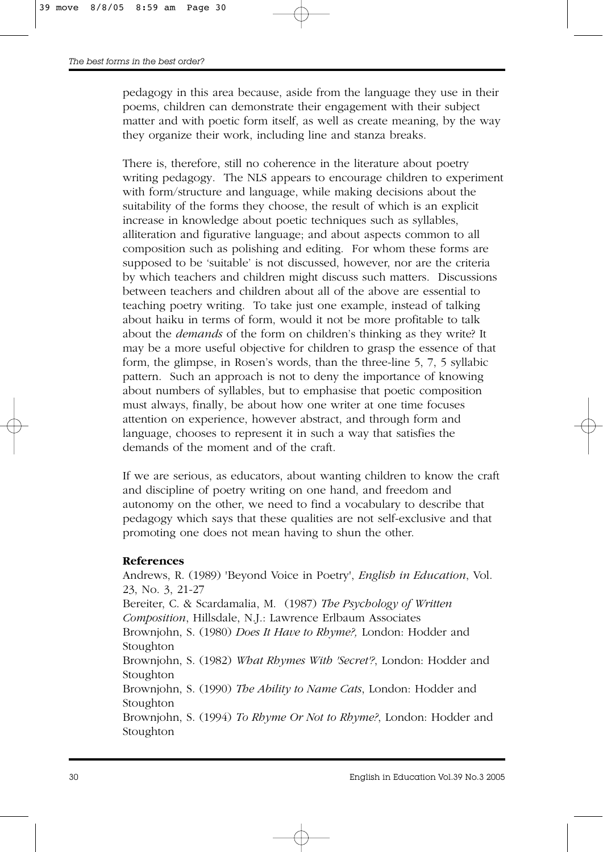pedagogy in this area because, aside from the language they use in their poems, children can demonstrate their engagement with their subject matter and with poetic form itself, as well as create meaning, by the way they organize their work, including line and stanza breaks.

There is, therefore, still no coherence in the literature about poetry writing pedagogy. The NLS appears to encourage children to experiment with form/structure and language, while making decisions about the suitability of the forms they choose, the result of which is an explicit increase in knowledge about poetic techniques such as syllables, alliteration and figurative language; and about aspects common to all composition such as polishing and editing. For whom these forms are supposed to be 'suitable' is not discussed, however, nor are the criteria by which teachers and children might discuss such matters. Discussions between teachers and children about all of the above are essential to teaching poetry writing. To take just one example, instead of talking about haiku in terms of form, would it not be more profitable to talk about the *demands* of the form on children's thinking as they write? It may be a more useful objective for children to grasp the essence of that form, the glimpse, in Rosen's words, than the three-line 5, 7, 5 syllabic pattern. Such an approach is not to deny the importance of knowing about numbers of syllables, but to emphasise that poetic composition must always, finally, be about how one writer at one time focuses attention on experience, however abstract, and through form and language, chooses to represent it in such a way that satisfies the demands of the moment and of the craft.

If we are serious, as educators, about wanting children to know the craft and discipline of poetry writing on one hand, and freedom and autonomy on the other, we need to find a vocabulary to describe that pedagogy which says that these qualities are not self-exclusive and that promoting one does not mean having to shun the other.

#### **References**

Andrews, R. (1989) 'Beyond Voice in Poetry', *English in Education*, Vol. 23, No. 3, 21-27 Bereiter, C. & Scardamalia, M. (1987) *The Psychology of Written Composition*, Hillsdale, N.J.: Lawrence Erlbaum Associates Brownjohn, S. (1980) *Does It Have to Rhyme?,* London: Hodder and Stoughton Brownjohn, S. (1982) *What Rhymes With 'Secret'?*, London: Hodder and Stoughton Brownjohn, S. (1990) *The Ability to Name Cats*, London: Hodder and Stoughton Brownjohn, S. (1994) *To Rhyme Or Not to Rhyme?*, London: Hodder and Stoughton